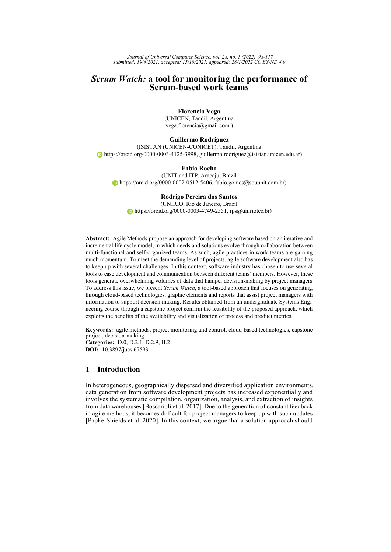*Journal of Universal Computer Science, vol. 28, no. 1 (2022), 98-117 submitted: 19/4/2021, accepted: 15/10/2021, appeared: 28/1/2022 CC BY-ND 4.0*

# *Scrum Watch:* **a tool for monitoring the performance of Scrum-based work teams**

**Florencia Vega** (UNICEN, Tandil, Argentina vega.florencia@gmail.com )

**Guillermo Rodríguez** (ISISTAN (UNICEN-CONICET), Tandil, Argentina  $\bullet$  [https://orcid.org/0000-0003-4125-3998,](https://orcid.org/0000-0003-4125-3998) guillermo.rodriguez@isistan.unicen.edu.ar)

**Fabio Rocha** (UNIT and ITP, Aracaju, Brazil  $\bullet$  [https://orcid.org/0000-0002-0512-5406,](https://orcid.org/0000-0002-0512-5406) fabio.gomes@souunit.com.br)

### **Rodrigo Pereira dos Santos**

(UNIRIO, Rio de Janeiro, Brazil  $\bullet$  [https://orcid.org/0000-0003-4749-2551,](https://orcid.org/0000-0003-4749-2551) rps@uniriotec.br)

**Abstract:** Agile Methods propose an approach for developing software based on an iterative and incremental life cycle model, in which needs and solutions evolve through collaboration between multi-functional and self-organized teams. As such, agile practices in work teams are gaining much momentum. To meet the demanding level of projects, agile software development also has to keep up with several challenges. In this context, software industry has chosen to use several tools to ease development and communication between different teams' members. However, these tools generate overwhelming volumes of data that hamper decision-making by project managers. To address this issue, we present *Scrum Watch*, a tool-based approach that focuses on generating, through cloud-based technologies, graphic elements and reports that assist project managers with information to support decision making. Results obtained from an undergraduate Systems Engineering course through a capstone project confirm the feasibility of the proposed approach, which exploits the benefits of the availability and visualization of process and product metrics.

**Keywords:** agile methods, project monitoring and control, cloud-based technologies, capstone project, decision-making **Categories:** D.0, D.2.1, D.2.9, H.2 **DOI:** 10.3897/jucs.67593

# **1 Introduction**

In heterogeneous, geographically dispersed and diversified application environments, data generation from software development projects has increased exponentially and involves the systematic compilation, organization, analysis, and extraction of insights from data warehouses [\[Boscarioli et al. 2017\]](#page-18-0). Due to the generation of constant feedback in agile methods, it becomes difficult for project managers to keep up with such updates [\[Papke-Shields et al. 2020\]](#page-18-1). In this context, we argue that a solution approach should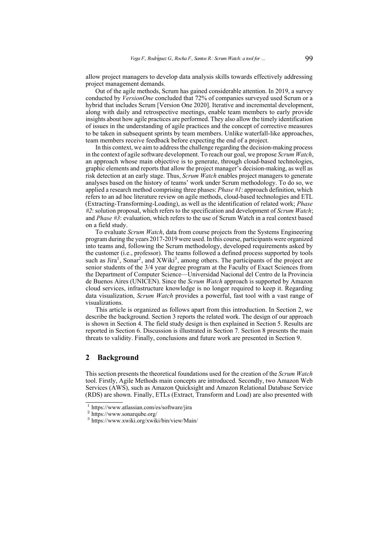allow project managers to develop data analysis skills towards effectively addressing project management demands.

Out of the agile methods, Scrum has gained considerable attention. In 2019, a survey conducted by *VersionOne* concluded that 72% of companies surveyed used Scrum or a hybrid that includes Scrum [\[Version One 2020\]](#page-18-2). Iterative and incremental development, along with daily and retrospective meetings, enable team members to early provide insights about how agile practices are performed. They also allow the timely identification of issues in the understanding of agile practices and the concept of corrective measures to be taken in subsequent sprints by team members. Unlike waterfall-like approaches, team members receive feedback before expecting the end of a project.

In this context, we aim to address the challenge regarding the decision-making process in the context of agile software development. To reach our goal, we propose *Scrum Watch*, an approach whose main objective is to generate, through cloud-based technologies, graphic elements and reports that allow the project manager's decision-making, as well as risk detection at an early stage. Thus, *Scrum Watch* enables project managers to generate analyses based on the history of teams' work under Scrum methodology. To do so, we applied a research method comprising three phases: *Phase #1*: approach definition, which refers to an ad hoc literature review on agile methods, cloud-based technologies and ETL (Extracting-Transforming-Loading), as well as the identification of related work; *Phase #2*: solution proposal, which refers to the specification and development of *Scrum Watch*; and *Phase #3*: evaluation, which refers to the use of Scrum Watch in a real context based on a field study.

To evaluate *Scrum Watch*, data from course projects from the Systems Engineering program during the years 2017-2019 were used. In this course, participants were organized into teams and, following the Scrum methodology, developed requirements asked by the customer (i.e., professor). The teams followed a defined process supported by tools such as Jira<sup>[1](#page-19-0)</sup>, Sonar<sup>[2](#page-19-0)</sup>, and XWiki<sup>[3](#page-19-0)</sup>, among others. The participants of the project are senior students of the 3/4 year degree program at the Faculty of Exact Sciences from the Department of Computer Science—Universidad Nacional del Centro de la Provincia de Buenos Aires (UNICEN). Since the *Scrum Watch* approach is supported by Amazon cloud services, infrastructure knowledge is no longer required to keep it. Regarding data visualization, *Scrum Watch* provides a powerful, fast tool with a vast range of visualizations.

This article is organized as follows apart from this introduction. In Section 2, we describe the background. Section 3 reports the related work. The design of our approach is shown in Section 4. The field study design is then explained in Section 5. Results are reported in Section 6. Discussion is illustrated in Section 7. Section 8 presents the main threats to validity. Finally, conclusions and future work are presented in Section 9.

# **2 Background**

This section presents the theoretical foundations used for the creation of the *Scrum Watch* tool. Firstly, Agile Methods main concepts are introduced. Secondly, two Amazon Web Services (AWS), such as Amazon Quicksight and Amazon Relational Database Service (RDS) are shown. Finally, ETLs (Extract, Transform and Load) are also presented with

<sup>1</sup> https://www.atlassian.com/es/software/jira

<sup>2</sup> https://www.sonarqube.org/

<sup>3</sup> https://www.xwiki.org/xwiki/bin/view/Main/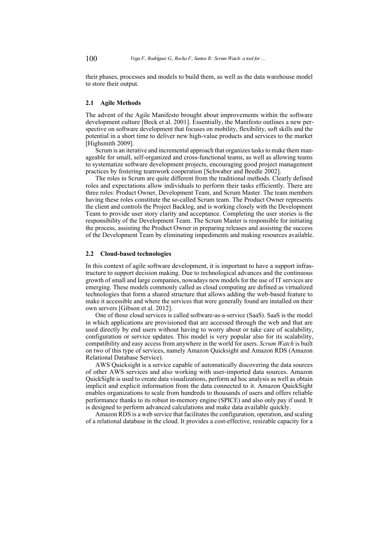their phases, processes and models to build them, as well as the data warehouse model to store their output.

### **2.1 Agile Methods**

The advent of the Agile Manifesto brought about improvements within the software development culture [\[Beck et al. 2001\]](#page-18-3). Essentially, the Manifesto outlines a new perspective on software development that focuses on mobility, flexibility, soft skills and the potential in a short time to deliver new high-value products and services to the market [\[Highsmith 2009\]](#page-18-4).

Scrum is an iterative and incremental approach that organizes tasks to make them manageable for small, self-organized and cross-functional teams, as well as allowing teams to systematize software development projects, encouraging good project management practices by fostering teamwork cooperation [\[Schwaber and Beedle 2002\]](#page-18-5).

The roles in Scrum are quite different from the traditional methods. Clearly defined roles and expectations allow individuals to perform their tasks efficiently. There are three roles: Product Owner, Development Team, and Scrum Master. The team members having these roles constitute the so-called Scrum team. The Product Owner represents the client and controls the Project Backlog, and is working closely with the Development Team to provide user story clarity and acceptance. Completing the user stories is the responsibility of the Development Team. The Scrum Master is responsible for initiating the process, assisting the Product Owner in preparing releases and assisting the success of the Development Team by eliminating impediments and making resources available.

### **2.2 Cloud-based technologies**

In this context of agile software development, it is important to have a support infrastructure to support decision making. Due to technological advances and the continuous growth of small and large companies, nowadays new models for the use of IT services are emerging. These models commonly called as cloud computing are defined as virtualized technologies that form a shared structure that allows adding the web-based feature to make it accessible and where the services that were generally found are installed on their own servers [\[Gibson et al. 2012\]](#page-18-6).

One of those cloud services is called software-as-a-service (SaaS). SaaS is the model in which applications are provisioned that are accessed through the web and that are used directly by end users without having to worry about or take care of scalability, configuration or service updates. This model is very popular also for its scalability, compatibility and easy access from anywhere in the world for users. *Scrum Watch* is built on two of this type of services, namely Amazon Quicksight and Amazon RDS (Amazon Relational Database Service).

AWS Quicksight is a service capable of automatically discovering the data sources of other AWS services and also working with user-imported data sources. Amazon QuickSight is used to create data visualizations, perform ad hoc analysis as well as obtain implicit and explicit information from the data connected to it. Amazon QuickSight enables organizations to scale from hundreds to thousands of users and offers reliable performance thanks to its robust in-memory engine (SPICE) and also only pay if used. It is designed to perform advanced calculations and make data available quickly.

Amazon RDS is a web service that facilitates the configuration, operation, and scaling of a relational database in the cloud. It provides a cost-effective, resizable capacity for a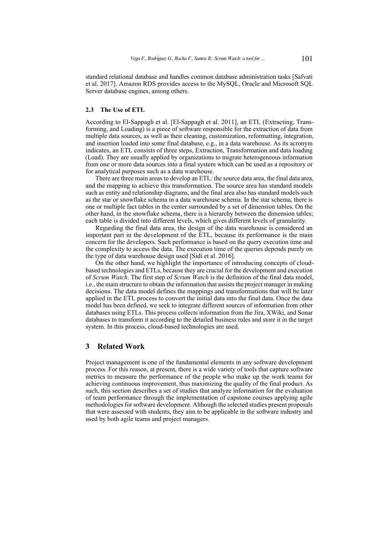standard relational database and handles common database administration tasks [\[Safvati](#page-18-7) [et al. 2017\]](#page-18-7). Amazon RDS provides access to the MySQL, Oracle and Microsoft SQL Server database engines, among others.

### **2.3 The Use of ETL**

According to El-Sappagh et al. [\[El-Sappagh et al. 2011\]](#page-18-8), an ETL (Extracting, Transforming, and Loading) is a piece of software responsible for the extraction of data from multiple data sources, as well as their cleaning, customization, reformatting, integration, and insertion loaded into some final database, e.g., in a data warehouse. As its acronym indicates, an ETL consists of three steps, Extraction, Transformation and data loading (Load). They are usually applied by organizations to migrate heterogeneous information from one or more data sources into a final system which can be used as a repository or for analytical purposes such as a data warehouse.

There are three main areas to develop an ETL: the source data area, the final data area, and the mapping to achieve this transformation. The source area has standard models such as entity and relationship diagrams, and the final area also has standard models such as the star or snowflake schema in a data warehouse schema. In the star schema, there is one or multiple fact tables in the center surrounded by a set of dimension tables. On the other hand, in the snowflake schema, there is a hierarchy between the dimension tables; each table is divided into different levels, which gives different levels of granularity.

Regarding the final data area, the design of the data warehouse is considered an important part in the development of the ETL, because its performance is the main concern for the developers. Such performance is based on the query execution time and the complexity to access the data. The execution time of the queries depends purely on the type of data warehouse design used [\[Sidi et al. 2016\]](#page-19-1).

On the other hand, we highlight the importance of introducing concepts of cloudbased technologies and ETLs, because they are crucial for the development and execution of *Scrum Watch*. The first step of *Scrum Watch* is the definition of the final data model, i.e., the main structure to obtain the information that assists the project manager in making decisions. The data model defines the mappings and transformations that will be later applied in the ETL process to convert the initial data into the final data. Once the data model has been defined, we seek to integrate different sources of information from other databases using ETLs. This process collects information from the Jira, XWiki, and Sonar databases to transform it according to the detailed business rules and store it in the target system. In this process, cloud-based technologies are used.

## **3 Related Work**

Project management is one of the fundamental elements in any software development process. For this reason, at present, there is a wide variety of tools that capture software metrics to measure the performance of the people who make up the work teams for achieving continuous improvement, thus maximizing the quality of the final product. As such, this section describes a set of studies that analyze information for the evaluation of team performance through the implementation of capstone courses applying agile methodologies for software development. Although the selected studies present proposals that were assessed with students, they aim to be applicable in the software industry and used by both agile teams and project managers.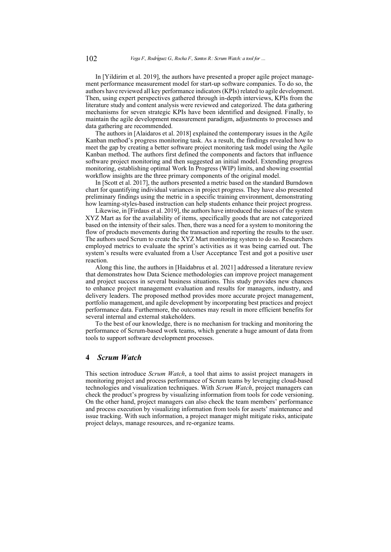In [\[Yildirim et al. 2019\]](#page-19-2), the authors have presented a proper agile project management performance measurement model for start-up software companies. To do so, the authors have reviewed all key performance indicators (KPIs) related to agile development. Then, using expert perspectives gathered through in-depth interviews, KPIs from the literature study and content analysis were reviewed and categorized. The data gathering mechanisms for seven strategic KPIs have been identified and designed. Finally, to maintain the agile development measurement paradigm, adjustments to processes and data gathering are recommended.

The authors in [\[Alaidaros et al. 2018\]](#page-17-0) explained the contemporary issues in the Agile Kanban method's progress monitoring task. As a result, the findings revealed how to meet the gap by creating a better software project monitoring task model using the Agile Kanban method. The authors first defined the components and factors that influence software project monitoring and then suggested an initial model. Extending progress monitoring, establishing optimal Work In Progress (WIP) limits, and showing essential workflow insights are the three primary components of the original model.

In [\[Scott et al. 2017\]](#page-18-9), the authors presented a metric based on the standard Burndown chart for quantifying individual variances in project progress. They have also presented preliminary findings using the metric in a specific training environment, demonstrating how learning-styles-based instruction can help students enhance their project progress.

Likewise, in [\[Firdaus et al. 2019\]](#page-18-10), the authors have introduced the issues of the system XYZ Mart as for the availability of items, specifically goods that are not categorized based on the intensity of their sales. Then, there was a need for a system to monitoring the flow of products movements during the transaction and reporting the results to the user. The authors used Scrum to create the XYZ Mart monitoring system to do so. Researchers employed metrics to evaluate the sprint's activities as it was being carried out. The system's results were evaluated from a User Acceptance Test and got a positive user reaction.

Along this line, the authors in [\[Haidabrus et al. 2021\]](#page-18-11) addressed a literature review that demonstrates how Data Science methodologies can improve project management and project success in several business situations. This study provides new chances to enhance project management evaluation and results for managers, industry, and delivery leaders. The proposed method provides more accurate project management, portfolio management, and agile development by incorporating best practices and project performance data. Furthermore, the outcomes may result in more efficient benefits for several internal and external stakeholders.

To the best of our knowledge, there is no mechanism for tracking and monitoring the performance of Scrum-based work teams, which generate a huge amount of data from tools to support software development processes.

## **4** *Scrum Watch*

This section introduce *Scrum Watch*, a tool that aims to assist project managers in monitoring project and process performance of Scrum teams by leveraging cloud-based technologies and visualization techniques. With *Scrum Watch*, project managers can check the product's progress by visualizing information from tools for code versioning. On the other hand, project managers can also check the team members' performance and process execution by visualizing information from tools for assets' maintenance and issue tracking. With such information, a project manager might mitigate risks, anticipate project delays, manage resources, and re-organize teams.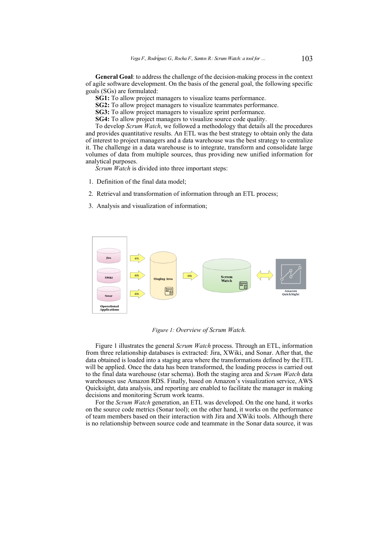**General Goal**: to address the challenge of the decision-making process in the context of agile software development. On the basis of the general goal, the following specific goals (SGs) are formulated:

**SG1:** To allow project managers to visualize teams performance.

**SG2:** To allow project managers to visualize teammates performance.

**SG3:** To allow project managers to visualize sprint performance.

**SG4:** To allow project managers to visualize source code quality.

To develop *Scrum Watch*, we followed a methodology that details all the procedures and provides quantitative results. An ETL was the best strategy to obtain only the data of interest to project managers and a data warehouse was the best strategy to centralize it. The challenge in a data warehouse is to integrate, transform and consolidate large volumes of data from multiple sources, thus providing new unified information for analytical purposes.

*Scrum Watch* is divided into three important steps:

- 1. Definition of the final data model;
- 2. Retrieval and transformation of information through an ETL process;
- 3. Analysis and visualization of information;

<span id="page-5-0"></span>

*Figure 1: Overview of Scrum Watch.*

Figure [1](#page-5-0) illustrates the general *Scrum Watch* process. Through an ETL, information from three relationship databases is extracted: Jira, XWiki, and Sonar. After that, the data obtained is loaded into a staging area where the transformations defined by the ETL will be applied. Once the data has been transformed, the loading process is carried out to the final data warehouse (star schema). Both the staging area and *Scrum Watch* data warehouses use Amazon RDS. Finally, based on Amazon's visualization service, AWS Quicksight, data analysis, and reporting are enabled to facilitate the manager in making decisions and monitoring Scrum work teams.

For the *Scrum Watch* generation, an ETL was developed. On the one hand, it works on the source code metrics (Sonar tool); on the other hand, it works on the performance of team members based on their interaction with Jira and XWiki tools. Although there is no relationship between source code and teammate in the Sonar data source, it was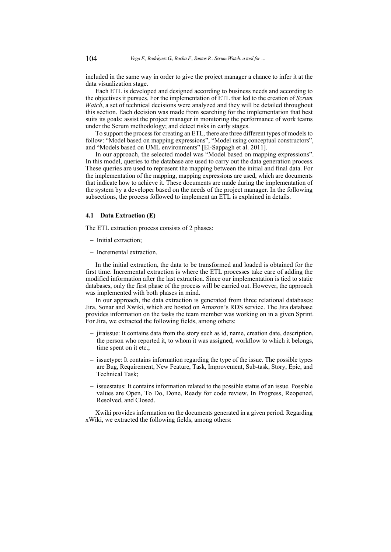included in the same way in order to give the project manager a chance to infer it at the data visualization stage.

Each ETL is developed and designed according to business needs and according to the objectives it pursues. For the implementation of ETL that led to the creation of *Scrum Watch*, a set of technical decisions were analyzed and they will be detailed throughout this section. Each decision was made from searching for the implementation that best suits its goals: assist the project manager in monitoring the performance of work teams under the Scrum methodology; and detect risks in early stages.

To support the process for creating an ETL, there are three different types of models to follow: "Model based on mapping expressions", "Model using conceptual constructors", and "Models based on UML environments" [\[El-Sappagh et al. 2011\]](#page-18-8).

In our approach, the selected model was "Model based on mapping expressions". In this model, queries to the database are used to carry out the data generation process. These queries are used to represent the mapping between the initial and final data. For the implementation of the mapping, mapping expressions are used, which are documents that indicate how to achieve it. These documents are made during the implementation of the system by a developer based on the needs of the project manager. In the following subsections, the process followed to implement an ETL is explained in details.

#### **4.1 Data Extraction (E)**

The ETL extraction process consists of 2 phases:

- **–** Initial extraction;
- **–** Incremental extraction.

In the initial extraction, the data to be transformed and loaded is obtained for the first time. Incremental extraction is where the ETL processes take care of adding the modified information after the last extraction. Since our implementation is tied to static databases, only the first phase of the process will be carried out. However, the approach was implemented with both phases in mind.

In our approach, the data extraction is generated from three relational databases: Jira, Sonar and Xwiki, which are hosted on Amazon's RDS service. The Jira database provides information on the tasks the team member was working on in a given Sprint. For Jira, we extracted the following fields, among others:

- **–** jiraissue: It contains data from the story such as id, name, creation date, description, the person who reported it, to whom it was assigned, workflow to which it belongs, time spent on it etc.;
- **–** issuetype: It contains information regarding the type of the issue. The possible types are Bug, Requirement, New Feature, Task, Improvement, Sub-task, Story, Epic, and Technical Task;
- **–** issuestatus: It contains information related to the possible status of an issue. Possible values are Open, To Do, Done, Ready for code review, In Progress, Reopened, Resolved, and Closed.

Xwiki provides information on the documents generated in a given period. Regarding xWiki, we extracted the following fields, among others: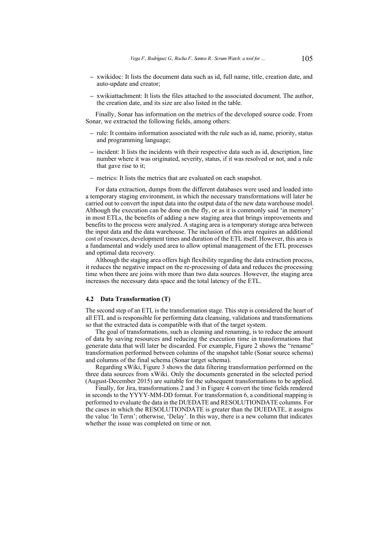- **–** xwikidoc: It lists the document data such as id, full name, title, creation date, and auto-update and creator;
- **–** xwikiattachment: It lists the files attached to the associated document. The author, the creation date, and its size are also listed in the table.

Finally, Sonar has information on the metrics of the developed source code. From Sonar, we extracted the following fields, among others:

- **–** rule: It contains information associated with the rule such as id, name, priority, status and programming language;
- **–** incident: It lists the incidents with their respective data such as id, description, line number where it was originated, severity, status, if it was resolved or not, and a rule that gave rise to it;
- **–** metrics: It lists the metrics that are evaluated on each snapshot.

For data extraction, dumps from the different databases were used and loaded into a temporary staging environment, in which the necessary transformations will later be carried out to convert the input data into the output data of the new data warehouse model. Although the execution can be done on the fly, or as it is commonly said 'in memory' in most ETLs, the benefits of adding a new staging area that brings improvements and benefits to the process were analyzed. A staging area is a temporary storage area between the input data and the data warehouse. The inclusion of this area requires an additional cost of resources, development times and duration of the ETL itself. However, this area is a fundamental and widely used area to allow optimal management of the ETL processes and optimal data recovery.

Although the staging area offers high flexibility regarding the data extraction process, it reduces the negative impact on the re-processing of data and reduces the processing time when there are joins with more than two data sources. However, the staging area increases the necessary data space and the total latency of the ETL.

#### **4.2 Data Transformation (T)**

The second step of an ETL is the transformation stage. This step is considered the heart of all ETL and is responsible for performing data cleansing, validations and transformations so that the extracted data is compatible with that of the target system.

The goal of transformations, such as cleaning and renaming, is to reduce the amount of data by saving resources and reducing the execution time in transformations that generate data that will later be discarded. For example, Figure [2](#page-8-0) shows the "rename" transformation performed between columns of the snapshot table (Sonar source schema) and columns of the final schema (Sonar target schema).

Regarding xWiki, Figure [3](#page-8-1) shows the data filtering transformation performed on the three data sources from xWiki. Only the documents generated in the selected period (August-December 2015) are suitable for the subsequent transformations to be applied.

Finally, for Jira, transformations 2 and 3 in Figure [4](#page-9-0) convert the time fields rendered in seconds to the YYYY-MM-DD format. For transformation 6, a conditional mapping is performed to evaluate the data in the DUEDATE and RESOLUTIONDATE columns. For the cases in which the RESOLUTIONDATE is greater than the DUEDATE, it assigns the value 'In Term'; otherwise, 'Delay'. In this way, there is a new column that indicates whether the issue was completed on time or not.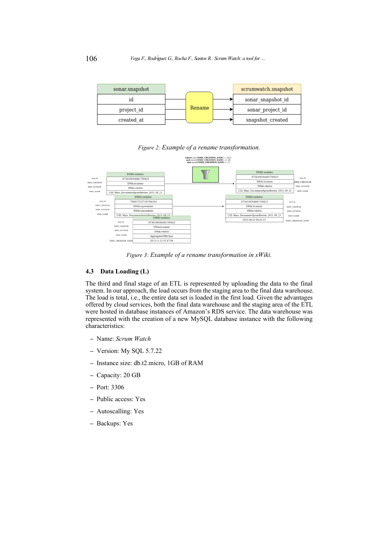<span id="page-8-0"></span>

| sonar.snapshot |        | scrumwatch.snapshot |
|----------------|--------|---------------------|
|                |        | sonar snapshot id   |
| project id     | Rename | sonar project id    |
| created at     |        | snapshot created    |

## *Figure 2: Example of a rename transformation.*

<span id="page-8-1"></span>

*Figure 3: Example of a rename transformation in xWiki.*

## **4.3 Data Loading (L)**

The third and final stage of an ETL is represented by uploading the data to the final system. In our approach, the load occurs from the staging area to the final data warehouse. The load is total, i.e., the entire data set is loaded in the first load. Given the advantages offered by cloud services, both the final data warehouse and the staging area of the ETL were hosted in database instances of Amazon's RDS service. The data warehouse was represented with the creation of a new MySQL database instance with the following characteristics:

- **–** Name: *Scrum Watch*
- **–** Version: My SQL 5.7.22
- **–** Instance size: db.t2.micro, 1GB of RAM
- **–** Capacity: 20 GB
- **–** Port: 3306
- **–** Public access: Yes
- **–** Autoscalling: Yes
- **–** Backups: Yes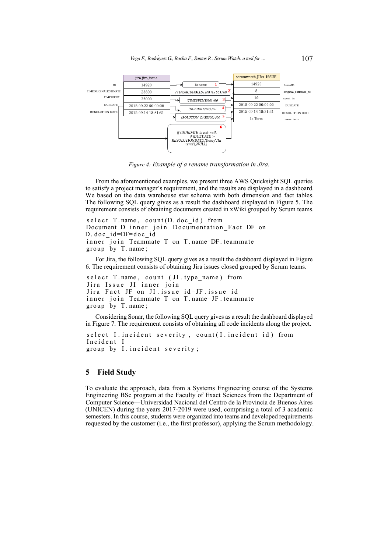<span id="page-9-0"></span>

*Figure 4: Example of a rename transformation in Jira.*

From the aforementioned examples, we present three AWS Quicksight SQL queries to satisfy a project manager's requirement, and the results are displayed in a dashboard. We based on the data warehouse star schema with both dimension and fact tables. The following SQL query gives as a result the dashboard displayed in Figure [5.](#page-10-0) The requirement consists of obtaining documents created in xWiki grouped by Scrum teams.

```
s e l e c t T. name, count (D. doc id) from
Document D inner join Documentation Fact DF on
D. doc id = DF = doc id
inner join Teammate T on T . name=DF . teammate
group by T . name;
```
For Jira, the following SQL query gives as a result the dashboard displayed in Figure [6.](#page-10-1) The requirement consists of obtaining Jira issues closed grouped by Scrum teams.

```
select T.name, count (JI.type_name) from
Jira_Issue JI inner join
Jira Fact JF on JI issue id=JF issue id
inner join Teammate T on T. name=JF. teammate
group by T . name;
```
Considering Sonar, the following SQL query gives as a result the dashboard displayed in Figure [7.](#page-11-0) The requirement consists of obtaining all code incidents along the project.

```
select I incident severity, count (I incident id) from
Incident I
group by I. incident severity;
```
## **5 Field Study**

To evaluate the approach, data from a Systems Engineering course of the Systems Engineering BSc program at the Faculty of Exact Sciences from the Department of Computer Science—Universidad Nacional del Centro de la Provincia de Buenos Aires (UNICEN) during the years 2017-2019 were used, comprising a total of 3 academic semesters. In this course, students were organized into teams and developed requirements requested by the customer (i.e., the first professor), applying the Scrum methodology.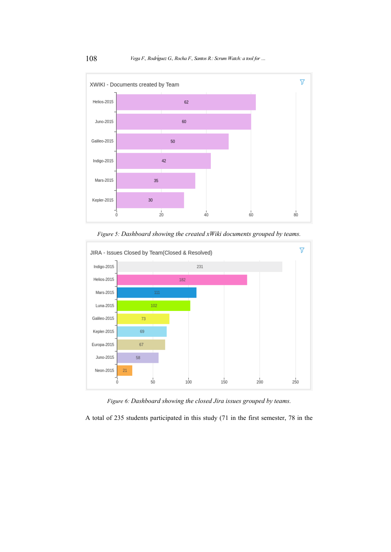<span id="page-10-0"></span>

*Figure 5: Dashboard showing the created xWiki documents grouped by teams.*

<span id="page-10-1"></span>

*Figure 6: Dashboard showing the closed Jira issues grouped by teams.*

A total of 235 students participated in this study (71 in the first semester, 78 in the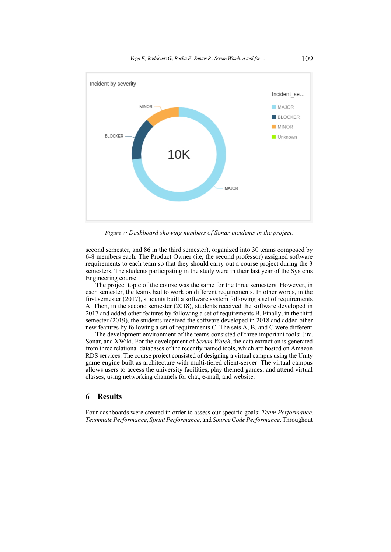<span id="page-11-0"></span>

*Figure 7: Dashboard showing numbers of Sonar incidents in the project.*

second semester, and 86 in the third semester), organized into 30 teams composed by 6-8 members each. The Product Owner (i.e, the second professor) assigned software requirements to each team so that they should carry out a course project during the 3 semesters. The students participating in the study were in their last year of the Systems Engineering course.

The project topic of the course was the same for the three semesters. However, in each semester, the teams had to work on different requirements. In other words, in the first semester (2017), students built a software system following a set of requirements A. Then, in the second semester (2018), students received the software developed in 2017 and added other features by following a set of requirements B. Finally, in the third semester (2019), the students received the software developed in 2018 and added other new features by following a set of requirements C. The sets A, B, and C were different.

The development environment of the teams consisted of three important tools: Jira, Sonar, and XWiki. For the development of *Scrum Watch*, the data extraction is generated from three relational databases of the recently named tools, which are hosted on Amazon RDS services. The course project consisted of designing a virtual campus using the Unity game engine built as architecture with multi-tiered client-server. The virtual campus allows users to access the university facilities, play themed games, and attend virtual classes, using networking channels for chat, e-mail, and website.

### **6 Results**

Four dashboards were created in order to assess our specific goals: *Team Performance*, *Teammate Performance*, *Sprint Performance*, and *Source Code Performance*. Throughout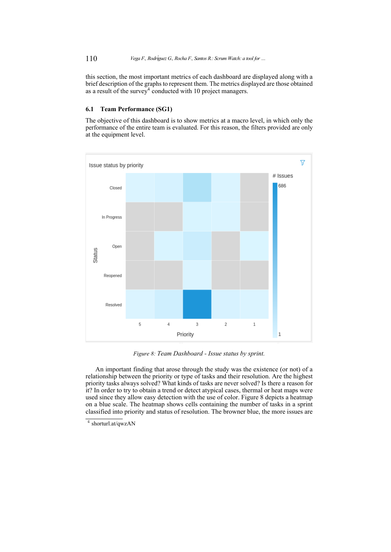this section, the most important metrics of each dashboard are displayed along with a brief description of the graphs to represent them. The metrics displayed are those obtained as a result of the survey<sup>[4](#page-19-0)</sup> conducted with 10 project managers.

## **6.1 Team Performance (SG1)**

The objective of this dashboard is to show metrics at a macro level, in which only the performance of the entire team is evaluated. For this reason, the filters provided are only at the equipment level.

<span id="page-12-0"></span>

*Figure 8: Team Dashboard - Issue status by sprint.*

An important finding that arose through the study was the existence (or not) of a relationship between the priority or type of tasks and their resolution. Are the highest priority tasks always solved? What kinds of tasks are never solved? Is there a reason for it? In order to try to obtain a trend or detect atypical cases, thermal or heat maps were used since they allow easy detection with the use of color. Figure [8](#page-12-0) depicts a heatmap on a blue scale. The heatmap shows cells containing the number of tasks in a sprint classified into priority and status of resolution. The browner blue, the more issues are

<sup>4</sup> shorturl.at/qwzAN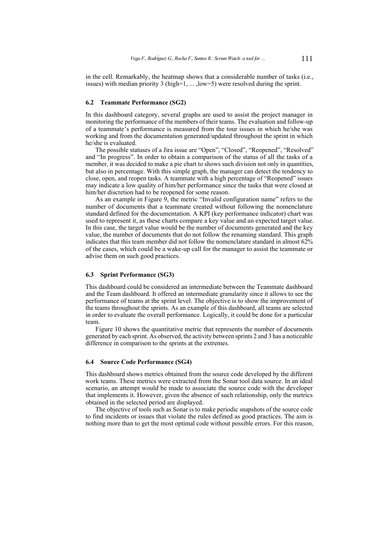in the cell. Remarkably, the heatmap shows that a considerable number of tasks (i.e., issues) with median priority 3 (high=1, ... ,low=5) were resolved during the sprint.

#### **6.2 Teammate Performance (SG2)**

In this dashboard category, several graphs are used to assist the project manager in monitoring the performance of the members of their teams. The evaluation and follow-up of a teammate's performance is measured from the tour issues in which he/she was working and from the documentation generated/updated throughout the sprint in which he/she is evaluated.

The possible statuses of a Jira issue are "Open", "Closed", "Reopened", "Resolved" and "In progress". In order to obtain a comparison of the status of all the tasks of a member, it was decided to make a pie chart to shows such division not only in quantities. but also in percentage. With this simple graph, the manager can detect the tendency to close, open, and reopen tasks. A teammate with a high percentage of "Reopened" issues may indicate a low quality of him/her performance since the tasks that were closed at him/her discretion had to be reopened for some reason.

As an example in Figure [9,](#page-14-0) the metric "Invalid configuration name" refers to the number of documents that a teammate created without following the nomenclature standard defined for the documentation. A KPI (key performance indicator) chart was used to represent it, as these charts compare a key value and an expected target value. In this case, the target value would be the number of documents generated and the key value, the number of documents that do not follow the renaming standard. This graph indicates that this team member did not follow the nomenclature standard in almost 62% of the cases, which could be a wake-up call for the manager to assist the teammate or advise them on such good practices.

### **6.3 Sprint Performance (SG3)**

This dashboard could be considered an intermediate between the Teammate dashboard and the Team dashboard. It offered an intermediate granularity since it allows to see the performance of teams at the sprint level. The objective is to show the improvement of the teams throughout the sprints. As an example of this dashboard, all teams are selected in order to evaluate the overall performance. Logically, it could be done for a particular team.

Figure [10](#page-15-0) shows the quantitative metric that represents the number of documents generated by each sprint. As observed, the activity between sprints 2 and 3 has a noticeable difference in comparison to the sprints at the extremes.

#### **6.4 Source Code Performance (SG4)**

This dashboard shows metrics obtained from the source code developed by the different work teams. These metrics were extracted from the Sonar tool data source. In an ideal scenario, an attempt would be made to associate the source code with the developer that implements it. However, given the absence of such relationship, only the metrics obtained in the selected period are displayed.

The objective of tools such as Sonar is to make periodic snapshots of the source code to find incidents or issues that violate the rules defined as good practices. The aim is nothing more than to get the most optimal code without possible errors. For this reason,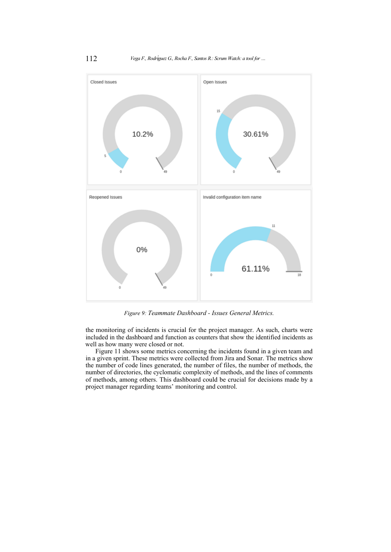<span id="page-14-0"></span>

*Figure 9: Teammate Dashboard - Issues General Metrics.*

the monitoring of incidents is crucial for the project manager. As such, charts were included in the dashboard and function as counters that show the identified incidents as well as how many were closed or not.

Figure [11](#page-15-1) shows some metrics concerning the incidents found in a given team and in a given sprint. These metrics were collected from Jira and Sonar. The metrics show the number of code lines generated, the number of files, the number of methods, the number of directories, the cyclomatic complexity of methods, and the lines of comments of methods, among others. This dashboard could be crucial for decisions made by a project manager regarding teams' monitoring and control.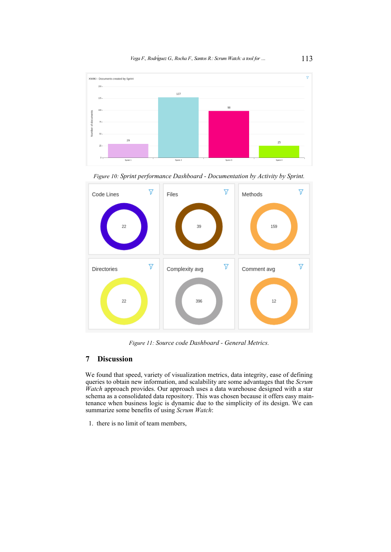<span id="page-15-0"></span>

*Figure 10: Sprint performance Dashboard - Documentation by Activity by Sprint.*

<span id="page-15-1"></span>

*Figure 11: Source code Dashboard - General Metrics.*

## **7 Discussion**

We found that speed, variety of visualization metrics, data integrity, ease of defining queries to obtain new information, and scalability are some advantages that the *Scrum Watch* approach provides. Our approach uses a data warehouse designed with a star schema as a consolidated data repository. This was chosen because it offers easy maintenance when business logic is dynamic due to the simplicity of its design. We can summarize some benefits of using *Scrum Watch*:

1. there is no limit of team members,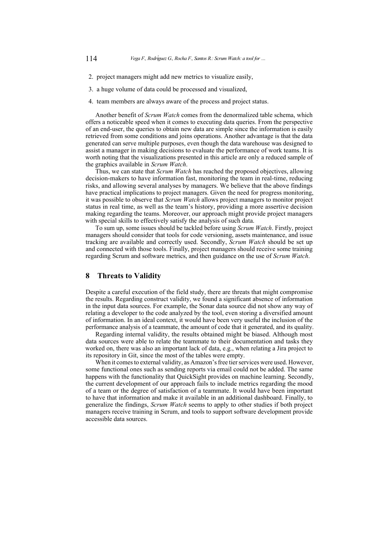- 2. project managers might add new metrics to visualize easily,
- 3. a huge volume of data could be processed and visualized,
- 4. team members are always aware of the process and project status.

Another benefit of *Scrum Watch* comes from the denormalized table schema, which offers a noticeable speed when it comes to executing data queries. From the perspective of an end-user, the queries to obtain new data are simple since the information is easily retrieved from some conditions and joins operations. Another advantage is that the data generated can serve multiple purposes, even though the data warehouse was designed to assist a manager in making decisions to evaluate the performance of work teams. It is worth noting that the visualizations presented in this article are only a reduced sample of the graphics available in *Scrum Watch*.

Thus, we can state that *Scrum Watch* has reached the proposed objectives, allowing decision-makers to have information fast, monitoring the team in real-time, reducing risks, and allowing several analyses by managers. We believe that the above findings have practical implications to project managers. Given the need for progress monitoring, it was possible to observe that *Scrum Watch* allows project managers to monitor project status in real time, as well as the team's history, providing a more assertive decision making regarding the teams. Moreover, our approach might provide project managers with special skills to effectively satisfy the analysis of such data.

To sum up, some issues should be tackled before using *Scrum Watch*. Firstly, project managers should consider that tools for code versioning, assets maintenance, and issue tracking are available and correctly used. Secondly, *Scrum Watch* should be set up and connected with those tools. Finally, project managers should receive some training regarding Scrum and software metrics, and then guidance on the use of *Scrum Watch*.

## **8 Threats to Validity**

Despite a careful execution of the field study, there are threats that might compromise the results. Regarding construct validity, we found a significant absence of information in the input data sources. For example, the Sonar data source did not show any way of relating a developer to the code analyzed by the tool, even storing a diversified amount of information. In an ideal context, it would have been very useful the inclusion of the performance analysis of a teammate, the amount of code that it generated, and its quality.

Regarding internal validity, the results obtained might be biased. Although most data sources were able to relate the teammate to their documentation and tasks they worked on, there was also an important lack of data, e.g., when relating a Jira project to its repository in Git, since the most of the tables were empty.

When it comes to external validity, as Amazon's free tier services were used. However, some functional ones such as sending reports via email could not be added. The same happens with the functionality that QuickSight provides on machine learning. Secondly, the current development of our approach fails to include metrics regarding the mood of a team or the degree of satisfaction of a teammate. It would have been important to have that information and make it available in an additional dashboard. Finally, to generalize the findings, *Scrum Watch* seems to apply to other studies if both project managers receive training in Scrum, and tools to support software development provide accessible data sources.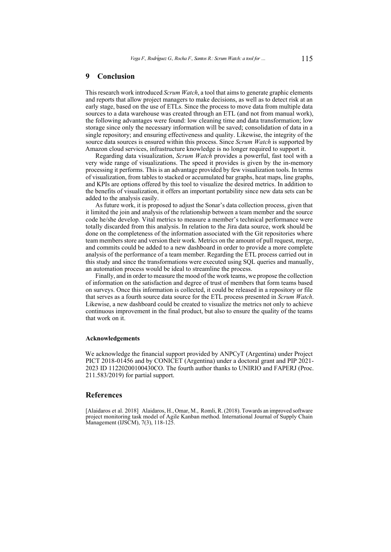## **9 Conclusion**

This research work introduced *Scrum Watch*, a tool that aims to generate graphic elements and reports that allow project managers to make decisions, as well as to detect risk at an early stage, based on the use of ETLs. Since the process to move data from multiple data sources to a data warehouse was created through an ETL (and not from manual work), the following advantages were found: low cleaning time and data transformation; low storage since only the necessary information will be saved; consolidation of data in a single repository; and ensuring effectiveness and quality. Likewise, the integrity of the source data sources is ensured within this process. Since *Scrum Watch* is supported by Amazon cloud services, infrastructure knowledge is no longer required to support it.

Regarding data visualization, *Scrum Watch* provides a powerful, fast tool with a very wide range of visualizations. The speed it provides is given by the in-memory processing it performs. This is an advantage provided by few visualization tools. In terms of visualization, from tables to stacked or accumulated bar graphs, heat maps, line graphs, and KPIs are options offered by this tool to visualize the desired metrics. In addition to the benefits of visualization, it offers an important portability since new data sets can be added to the analysis easily.

As future work, it is proposed to adjust the Sonar's data collection process, given that it limited the join and analysis of the relationship between a team member and the source code he/she develop. Vital metrics to measure a member's technical performance were totally discarded from this analysis. In relation to the Jira data source, work should be done on the completeness of the information associated with the Git repositories where team members store and version their work. Metrics on the amount of pull request, merge, and commits could be added to a new dashboard in order to provide a more complete analysis of the performance of a team member. Regarding the ETL process carried out in this study and since the transformations were executed using SQL queries and manually, an automation process would be ideal to streamline the process.

Finally, and in order to measure the mood of the work teams, we propose the collection of information on the satisfaction and degree of trust of members that form teams based on surveys. Once this information is collected, it could be released in a repository or file that serves as a fourth source data source for the ETL process presented in *Scrum Watch*. Likewise, a new dashboard could be created to visualize the metrics not only to achieve continuous improvement in the final product, but also to ensure the quality of the teams that work on it.

### **Acknowledgements**

We acknowledge the financial support provided by ANPCyT (Argentina) under Project PICT 2018-01456 and by CONICET (Argentina) under a doctoral grant and PIP 2021- 2023 ID 11220200100430CO. The fourth author thanks to UNIRIO and FAPERJ (Proc. 211.583/2019) for partial support.

#### **References**

<span id="page-17-0"></span>[Alaidaros et al. 2018] Alaidaros, H., Omar, M., Romli, R. (2018). Towards an improved software project monitoring task model of Agile Kanban method. International Journal of Supply Chain Management (IJSCM), 7(3), 118-125.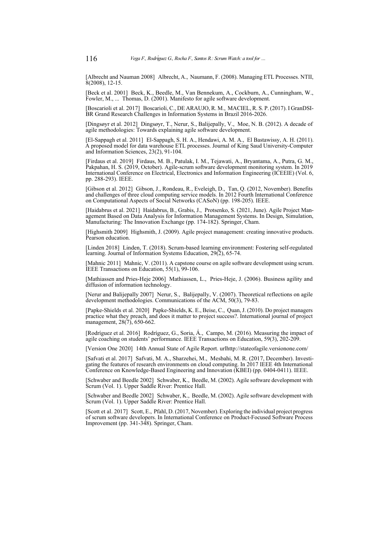[Albrecht and Nauman 2008] Albrecht, A., Naumann, F. (2008). Managing ETL Processes. NTII, 8(2008), 12-15.

<span id="page-18-3"></span>[Beck et al. 2001] Beck, K., Beedle, M., Van Bennekum, A., Cockburn, A., Cunningham, W., Fowler, M., ... Thomas, D. (2001). Manifesto for agile software development.

<span id="page-18-0"></span>[Boscarioli et al. 2017] Boscarioli, C., DE ARAUJO, R. M., MACIEL, R. S. P. (2017). I GranDSI-BR Grand Research Challenges in Information Systems in Brazil 2016-2026.

[Dingsøyr et al. 2012] Dingsøyr, T., Nerur, S., Balijepally, V., Moe, N. B. (2012). A decade of agile methodologies: Towards explaining agile software development.

<span id="page-18-8"></span>[El-Sappagh et al. 2011] El-Sappagh, S. H. A., Hendawi, A. M. A., El Bastawissy, A. H. (2011). A proposed model for data warehouse ETL processes. Journal of King Saud University-Computer and Information Sciences, 23(2), 91-104.

<span id="page-18-10"></span>[Firdaus et al. 2019] Firdaus, M. B., Patulak, I. M., Tejawati, A., Bryantama, A., Putra, G. M., Pakpahan, H. S. (2019, October). Agile-scrum software development monitoring system. In 2019 International Conference on Electrical, Electronics and Information Engineering (ICEEIE) (Vol. 6, pp. 288-293). IEEE.

<span id="page-18-6"></span>[Gibson et al. 2012] Gibson, J., Rondeau, R., Eveleigh, D., Tan, Q. (2012, November). Benefits and challenges of three cloud computing service models. In 2012 Fourth International Conference on Computational Aspects of Social Networks (CASoN) (pp. 198-205). IEEE.

<span id="page-18-11"></span>[Haidabrus et al. 2021] Haidabrus, B., Grabis, J., Protsenko, S. (2021, June). Agile Project Management Based on Data Analysis for Information Management Systems. In Design, Simulation, Manufacturing: The Innovation Exchange (pp. 174-182). Springer, Cham.

<span id="page-18-4"></span>[Highsmith 2009] Highsmith, J. (2009). Agile project management: creating innovative products. Pearson education.

[Linden 2018] Linden, T. (2018). Scrum-based learning environment: Fostering self-regulated learning. Journal of Information Systems Education, 29(2), 65-74.

[Mahnic 2011] Mahnic, V. (2011). A capstone course on agile software development using scrum. IEEE Transactions on Education, 55(1), 99-106.

[Mathiassen and Pries-Heje 2006] Mathiassen, L., Pries-Heje, J. (2006). Business agility and diffusion of information technology.

[Nerur and Balijepally 2007] Nerur, S., Balijepally, V. (2007). Theoretical reflections on agile development methodologies. Communications of the ACM, 50(3), 79-83.

<span id="page-18-1"></span>[Papke-Shields et al. 2020] Papke-Shields, K. E., Beise, C., Quan, J. (2010). Do project managers practice what they preach, and does it matter to project success?. International journal of project management, 28(7), 650-662.

[Rodríguez et al. 2016] Rodríguez, G., Soria, Á., Campo, M. (2016). Measuring the impact of agile coaching on students' performance. IEEE Transactions on Education, 59(3), 202-209.

<span id="page-18-2"></span>[Version One 2020] 14th Annual State of Agile Report. urlhttp://stateofagile.versionone.com/

<span id="page-18-7"></span>[Safvati et al. 2017] Safvati, M. A., Sharzehei, M., Mesbahi, M. R. (2017, December). Investigating the features of research environments on cloud computing. In 2017 IEEE 4th International Conference on Knowledge-Based Engineering and Innovation (KBEI) (pp. 0404-0411). IEEE.

<span id="page-18-5"></span>[Schwaber and Beedle 2002] Schwaber, K., Beedle, M. (2002). Agile software development with Scrum (Vol. 1). Upper Saddle River: Prentice Hall.

[Schwaber and Beedle 2002] Schwaber, K., Beedle, M. (2002). Agile software development with Scrum (Vol. 1). Upper Saddle River: Prentice Hall.

<span id="page-18-9"></span>[Scott et al. 2017] Scott, E., Pfahl, D. (2017, November). Exploring the individual project progress of scrum software developers. In International Conference on Product-Focused Software Process Improvement (pp. 341-348). Springer, Cham.